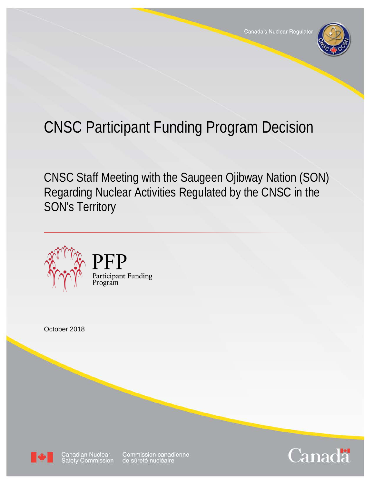

# CNSC Participant Funding Program Decision

CNSC Staff Meeting with the Saugeen Ojibway Nation (SON) Regarding Nuclear Activities Regulated by the CNSC in the SON's Territory



PFP

Program

Participant Funding

October 2018



Canadian Nuclear<br>Safety Commission

Commission canadienne<br>de sûreté nucléaire

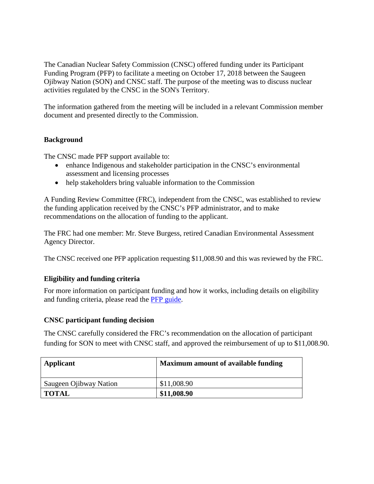The Canadian Nuclear Safety Commission (CNSC) offered funding under its Participant Funding Program (PFP) to facilitate a meeting on October 17, 2018 between the Saugeen Ojibway Nation (SON) and CNSC staff. The purpose of the meeting was to discuss nuclear activities regulated by the CNSC in the SON's Territory.

The information gathered from the meeting will be included in a relevant Commission member document and presented directly to the Commission.

### **Background**

The CNSC made PFP support available to:

- enhance Indigenous and stakeholder participation in the CNSC's environmental assessment and licensing processes
- help stakeholders bring valuable information to the Commission

A Funding Review Committee (FRC), independent from the CNSC, was established to review the funding application received by the CNSC's PFP administrator, and to make recommendations on the allocation of funding to the applicant.

The FRC had one member: Mr. Steve Burgess, retired Canadian Environmental Assessment Agency Director.

The CNSC received one PFP application requesting \$11,008.90 and this was reviewed by the FRC.

## **Eligibility and funding criteria**

For more information on participant funding and how it works, including details on eligibility and funding criteria, please read the [PFP guide.](http://nuclearsafety.gc.ca/eng/pdfs/participant-funding-program/CNSC-Participant-Funding-Guide-eng.pdf)

### **CNSC participant funding decision**

The CNSC carefully considered the FRC's recommendation on the allocation of participant funding for SON to meet with CNSC staff, and approved the reimbursement of up to \$11,008.90.

| Applicant              | <b>Maximum amount of available funding</b> |
|------------------------|--------------------------------------------|
| Saugeen Ojibway Nation | \$11,008.90                                |
| TOTAL                  | \$11,008.90                                |